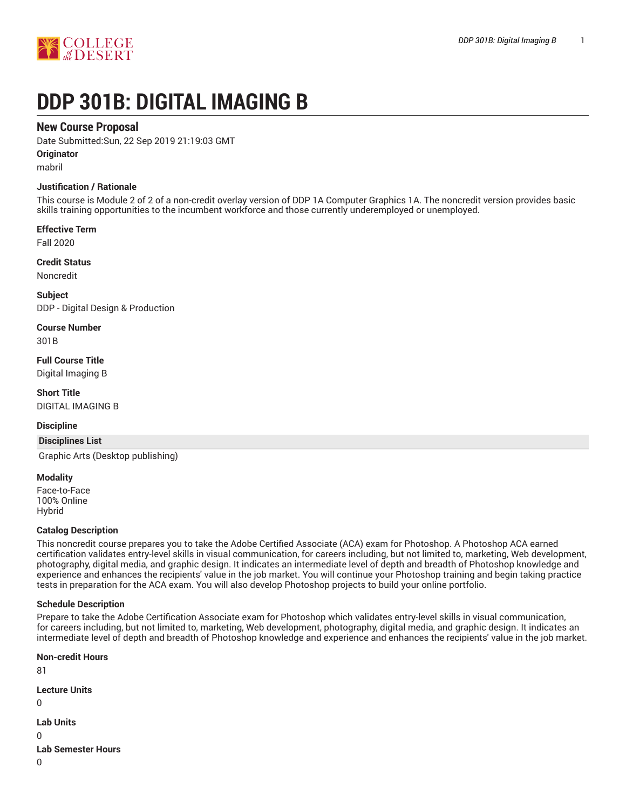

# **DDP 301B: DIGITAL IMAGING B**

# **New Course Proposal**

Date Submitted:Sun, 22 Sep 2019 21:19:03 GMT

**Originator**

mabril

## **Justification / Rationale**

This course is Module 2 of 2 of a non-credit overlay version of DDP 1A Computer Graphics 1A. The noncredit version provides basic skills training opportunities to the incumbent workforce and those currently underemployed or unemployed.

**Effective Term**

Fall 2020

**Credit Status**

Noncredit

**Subject** DDP - Digital Design & Production

**Course Number** 301B

**Full Course Title** Digital Imaging B

**Short Title** DIGITAL IMAGING B

## **Discipline**

## **Disciplines List**

Graphic Arts (Desktop publishing)

### **Modality**

Face-to-Face 100% Online Hybrid

### **Catalog Description**

This noncredit course prepares you to take the Adobe Certified Associate (ACA) exam for Photoshop. A Photoshop ACA earned certification validates entry-level skills in visual communication, for careers including, but not limited to, marketing, Web development, photography, digital media, and graphic design. It indicates an intermediate level of depth and breadth of Photoshop knowledge and experience and enhances the recipients' value in the job market. You will continue your Photoshop training and begin taking practice tests in preparation for the ACA exam. You will also develop Photoshop projects to build your online portfolio.

## **Schedule Description**

Prepare to take the Adobe Certification Associate exam for Photoshop which validates entry-level skills in visual communication, for careers including, but not limited to, marketing, Web development, photography, digital media, and graphic design. It indicates an intermediate level of depth and breadth of Photoshop knowledge and experience and enhances the recipients' value in the job market.

**Non-credit Hours** 81 **Lecture Units**  $\Omega$ **Lab Units** 0 **Lab Semester Hours**  $\Omega$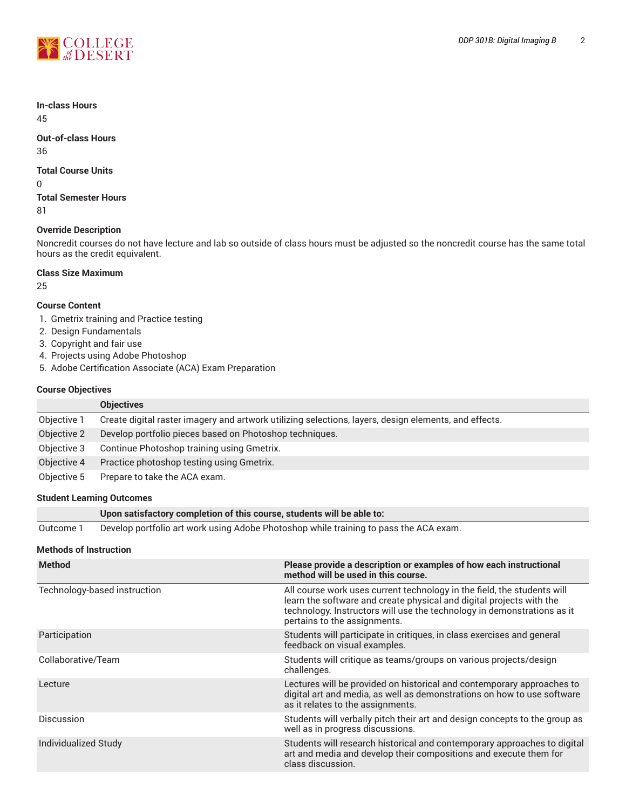

# **In-class Hours**

45

## **Out-of-class Hours** 36

## **Total Course Units**

0

**Total Semester Hours** 81

# **Override Description**

Noncredit courses do not have lecture and lab so outside of class hours must be adjusted so the noncredit course has the same total hours as the credit equivalent.

## **Class Size Maximum**

25

# **Course Content**

- 1. Gmetrix training and Practice testing
- 2. Design Fundamentals
- 3. Copyright and fair use
- 4. Projects using Adobe Photoshop
- 5. Adobe Certification Associate (ACA) Exam Preparation

# **Course Objectives**

|             | <b>Objectives</b>                                                                                     |
|-------------|-------------------------------------------------------------------------------------------------------|
| Objective 1 | Create digital raster imagery and artwork utilizing selections, layers, design elements, and effects. |
| Objective 2 | Develop portfolio pieces based on Photoshop techniques.                                               |
| Objective 3 | Continue Photoshop training using Gmetrix.                                                            |
| Objective 4 | Practice photoshop testing using Gmetrix.                                                             |
| Objective 5 | Prepare to take the ACA exam.                                                                         |

## **Student Learning Outcomes**

|           | Upon satisfactory completion of this course, students will be able to:                |
|-----------|---------------------------------------------------------------------------------------|
| Outcome 1 | Develop portfolio art work using Adobe Photoshop while training to pass the ACA exam. |

## **Methods of Instruction**

| <b>Method</b>                | Please provide a description or examples of how each instructional<br>method will be used in this course.                                                                                                                                                  |
|------------------------------|------------------------------------------------------------------------------------------------------------------------------------------------------------------------------------------------------------------------------------------------------------|
| Technology-based instruction | All course work uses current technology in the field, the students will<br>learn the software and create physical and digital projects with the<br>technology. Instructors will use the technology in demonstrations as it<br>pertains to the assignments. |
| Participation                | Students will participate in critiques, in class exercises and general<br>feedback on visual examples.                                                                                                                                                     |
| Collaborative/Team           | Students will critique as teams/groups on various projects/design<br>challenges.                                                                                                                                                                           |
| Lecture                      | Lectures will be provided on historical and contemporary approaches to<br>digital art and media, as well as demonstrations on how to use software<br>as it relates to the assignments.                                                                     |
| <b>Discussion</b>            | Students will verbally pitch their art and design concepts to the group as<br>well as in progress discussions.                                                                                                                                             |
| Individualized Study         | Students will research historical and contemporary approaches to digital<br>art and media and develop their compositions and execute them for<br>class discussion.                                                                                         |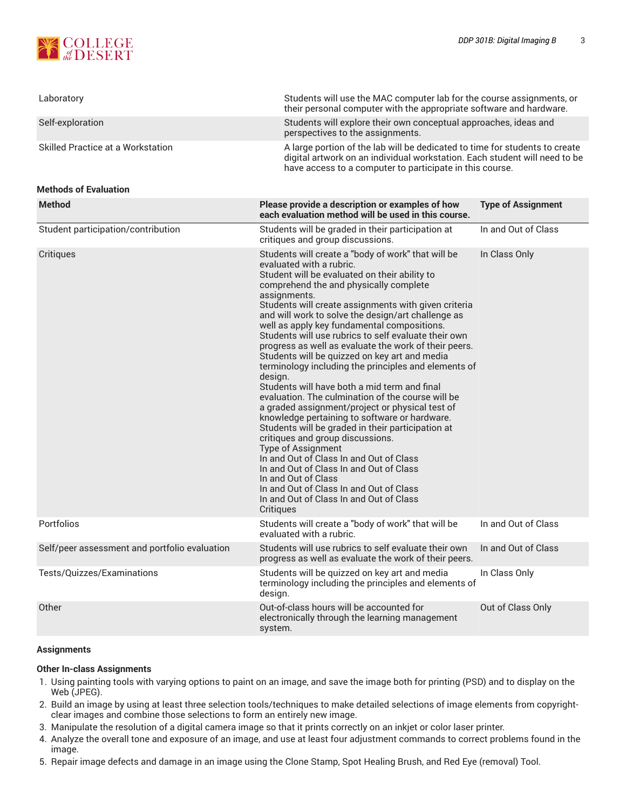

| Laboratory                                    | Students will use the MAC computer lab for the course assignments, or<br>their personal computer with the appropriate software and hardware.                                                                                                                                                                                                                                                                                                                                                                                                                                                                                                                                                                                                                                                                                                                                                                                                                                                                                                                                                                                               |                           |  |
|-----------------------------------------------|--------------------------------------------------------------------------------------------------------------------------------------------------------------------------------------------------------------------------------------------------------------------------------------------------------------------------------------------------------------------------------------------------------------------------------------------------------------------------------------------------------------------------------------------------------------------------------------------------------------------------------------------------------------------------------------------------------------------------------------------------------------------------------------------------------------------------------------------------------------------------------------------------------------------------------------------------------------------------------------------------------------------------------------------------------------------------------------------------------------------------------------------|---------------------------|--|
| Self-exploration                              | Students will explore their own conceptual approaches, ideas and<br>perspectives to the assignments.                                                                                                                                                                                                                                                                                                                                                                                                                                                                                                                                                                                                                                                                                                                                                                                                                                                                                                                                                                                                                                       |                           |  |
| Skilled Practice at a Workstation             | A large portion of the lab will be dedicated to time for students to create<br>digital artwork on an individual workstation. Each student will need to be<br>have access to a computer to participate in this course.                                                                                                                                                                                                                                                                                                                                                                                                                                                                                                                                                                                                                                                                                                                                                                                                                                                                                                                      |                           |  |
| <b>Methods of Evaluation</b>                  |                                                                                                                                                                                                                                                                                                                                                                                                                                                                                                                                                                                                                                                                                                                                                                                                                                                                                                                                                                                                                                                                                                                                            |                           |  |
| <b>Method</b>                                 | Please provide a description or examples of how<br>each evaluation method will be used in this course.                                                                                                                                                                                                                                                                                                                                                                                                                                                                                                                                                                                                                                                                                                                                                                                                                                                                                                                                                                                                                                     | <b>Type of Assignment</b> |  |
| Student participation/contribution            | Students will be graded in their participation at<br>critiques and group discussions.                                                                                                                                                                                                                                                                                                                                                                                                                                                                                                                                                                                                                                                                                                                                                                                                                                                                                                                                                                                                                                                      | In and Out of Class       |  |
| Critiques                                     | Students will create a "body of work" that will be<br>evaluated with a rubric.<br>Student will be evaluated on their ability to<br>comprehend the and physically complete<br>assignments.<br>Students will create assignments with given criteria<br>and will work to solve the design/art challenge as<br>well as apply key fundamental compositions.<br>Students will use rubrics to self evaluate their own<br>progress as well as evaluate the work of their peers.<br>Students will be quizzed on key art and media<br>terminology including the principles and elements of<br>desian.<br>Students will have both a mid term and final<br>evaluation. The culmination of the course will be<br>a graded assignment/project or physical test of<br>knowledge pertaining to software or hardware.<br>Students will be graded in their participation at<br>critiques and group discussions.<br><b>Type of Assignment</b><br>In and Out of Class In and Out of Class<br>In and Out of Class In and Out of Class<br>In and Out of Class<br>In and Out of Class In and Out of Class<br>In and Out of Class In and Out of Class<br>Critiques | In Class Only             |  |
| Portfolios                                    | Students will create a "body of work" that will be<br>evaluated with a rubric.                                                                                                                                                                                                                                                                                                                                                                                                                                                                                                                                                                                                                                                                                                                                                                                                                                                                                                                                                                                                                                                             | In and Out of Class       |  |
| Self/peer assessment and portfolio evaluation | Students will use rubrics to self evaluate their own<br>progress as well as evaluate the work of their peers.                                                                                                                                                                                                                                                                                                                                                                                                                                                                                                                                                                                                                                                                                                                                                                                                                                                                                                                                                                                                                              | In and Out of Class       |  |
| Tests/Quizzes/Examinations                    | Students will be quizzed on key art and media<br>terminology including the principles and elements of<br>design.                                                                                                                                                                                                                                                                                                                                                                                                                                                                                                                                                                                                                                                                                                                                                                                                                                                                                                                                                                                                                           | In Class Only             |  |
| Other                                         | Out-of-class hours will be accounted for<br>electronically through the learning management<br>system.                                                                                                                                                                                                                                                                                                                                                                                                                                                                                                                                                                                                                                                                                                                                                                                                                                                                                                                                                                                                                                      | Out of Class Only         |  |

## **Assignments**

### **Other In-class Assignments**

- 1. Using painting tools with varying options to paint on an image, and save the image both for printing (PSD) and to display on the Web (JPEG).
- 2. Build an image by using at least three selection tools/techniques to make detailed selections of image elements from copyrightclear images and combine those selections to form an entirely new image.
- 3. Manipulate the resolution of a digital camera image so that it prints correctly on an inkjet or color laser printer.
- 4. Analyze the overall tone and exposure of an image, and use at least four adjustment commands to correct problems found in the image.
- 5. Repair image defects and damage in an image using the Clone Stamp, Spot Healing Brush, and Red Eye (removal) Tool.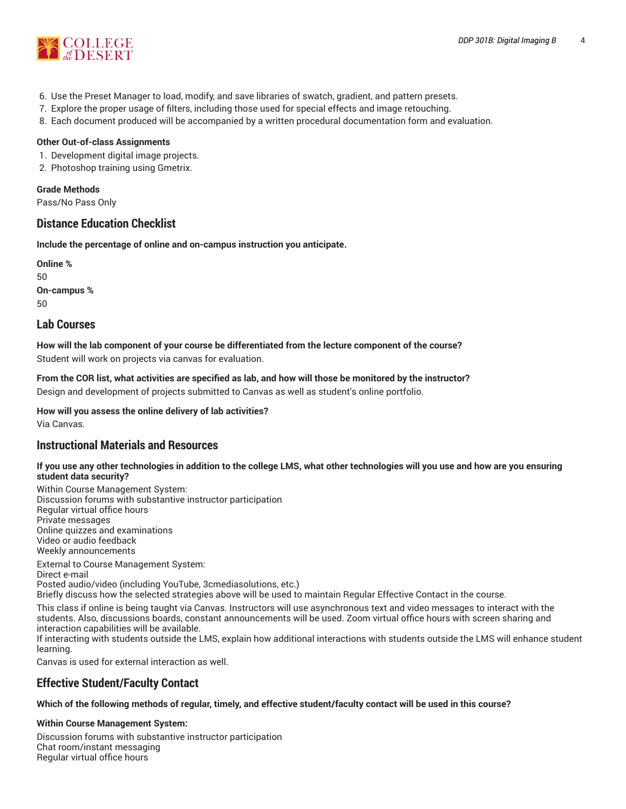

- 6. Use the Preset Manager to load, modify, and save libraries of swatch, gradient, and pattern presets.
- 7. Explore the proper usage of filters, including those used for special effects and image retouching.
- 8. Each document produced will be accompanied by a written procedural documentation form and evaluation.

## **Other Out-of-class Assignments**

- 1. Development digital image projects.
- 2. Photoshop training using Gmetrix.

## **Grade Methods**

Pass/No Pass Only

# **Distance Education Checklist**

**Include the percentage of online and on-campus instruction you anticipate.**

**Online %** 50 **On-campus %** 50

# **Lab Courses**

**How will the lab component of your course be differentiated from the lecture component of the course?** Student will work on projects via canvas for evaluation.

From the COR list, what activities are specified as lab, and how will those be monitored by the instructor?

Design and development of projects submitted to Canvas as well as student's online portfolio.

**How will you assess the online delivery of lab activities?**

Via Canvas.

# **Instructional Materials and Resources**

## If you use any other technologies in addition to the college LMS, what other technologies will you use and how are you ensuring **student data security?**

Within Course Management System: Discussion forums with substantive instructor participation Regular virtual office hours Private messages Online quizzes and examinations Video or audio feedback Weekly announcements

External to Course Management System: Direct e-mail Posted audio/video (including YouTube, 3cmediasolutions, etc.) Briefly discuss how the selected strategies above will be used to maintain Regular Effective Contact in the course.

This class if online is being taught via Canvas. Instructors will use asynchronous text and video messages to interact with the students. Also, discussions boards, constant announcements will be used. Zoom virtual office hours with screen sharing and interaction capabilities will be available.

If interacting with students outside the LMS, explain how additional interactions with students outside the LMS will enhance student learning.

Canvas is used for external interaction as well.

# **Effective Student/Faculty Contact**

### Which of the following methods of regular, timely, and effective student/faculty contact will be used in this course?

**Within Course Management System:**

Discussion forums with substantive instructor participation Chat room/instant messaging Regular virtual office hours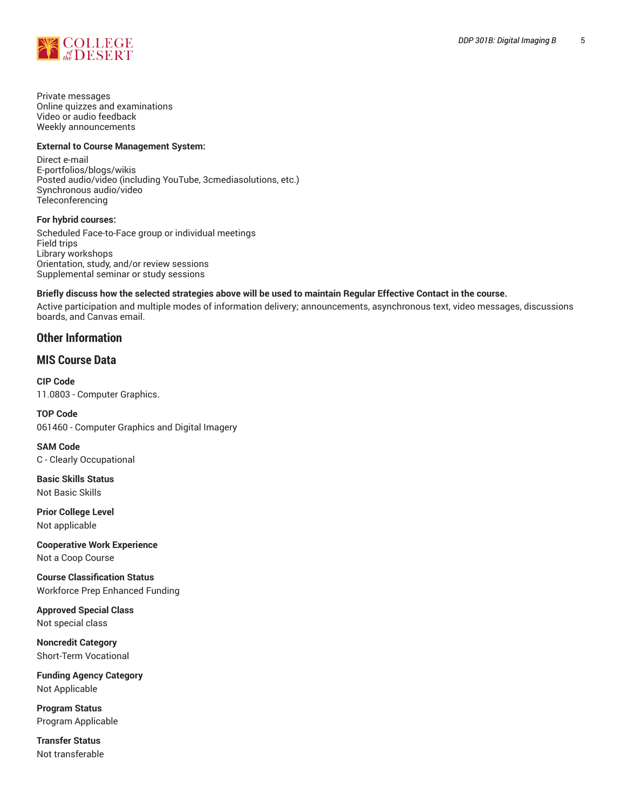

Private messages Online quizzes and examinations Video or audio feedback Weekly announcements

## **External to Course Management System:**

Direct e-mail E-portfolios/blogs/wikis Posted audio/video (including YouTube, 3cmediasolutions, etc.) Synchronous audio/video Teleconferencing

**For hybrid courses:**

Scheduled Face-to-Face group or individual meetings Field trips Library workshops Orientation, study, and/or review sessions Supplemental seminar or study sessions

## Briefly discuss how the selected strategies above will be used to maintain Regular Effective Contact in the course.

Active participation and multiple modes of information delivery; announcements, asynchronous text, video messages, discussions boards, and Canvas email.

# **Other Information**

# **MIS Course Data**

**CIP Code** 11.0803 - Computer Graphics.

**TOP Code** 061460 - Computer Graphics and Digital Imagery

**SAM Code** C - Clearly Occupational

**Basic Skills Status** Not Basic Skills

**Prior College Level** Not applicable

**Cooperative Work Experience** Not a Coop Course

**Course Classification Status** Workforce Prep Enhanced Funding

**Approved Special Class** Not special class

**Noncredit Category** Short-Term Vocational

**Funding Agency Category** Not Applicable

**Program Status** Program Applicable

**Transfer Status** Not transferable